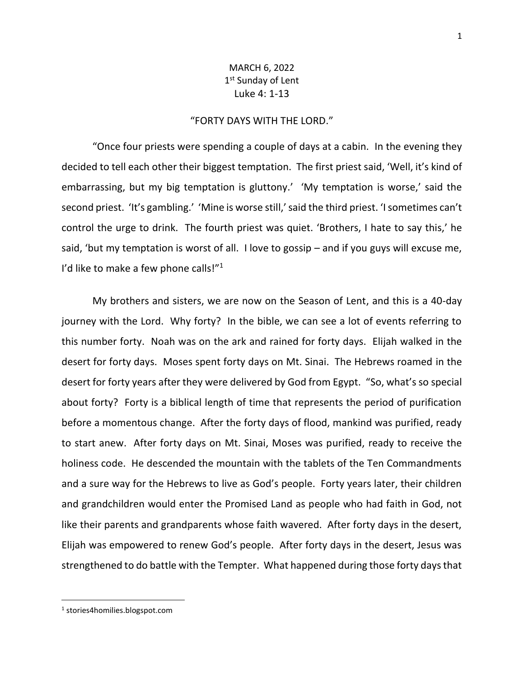## MARCH 6, 2022 1st Sunday of Lent Luke 4: 1-13

## "FORTY DAYS WITH THE LORD."

"Once four priests were spending a couple of days at a cabin. In the evening they decided to tell each other their biggest temptation. The first priest said, 'Well, it's kind of embarrassing, but my big temptation is gluttony.' 'My temptation is worse,' said the second priest. 'It's gambling.' 'Mine is worse still,'said the third priest. 'I sometimes can't control the urge to drink. The fourth priest was quiet. 'Brothers, I hate to say this,' he said, 'but my temptation is worst of all. I love to gossip – and if you guys will excuse me, I'd like to make a few phone calls!" $1$ 

My brothers and sisters, we are now on the Season of Lent, and this is a 40-day journey with the Lord. Why forty? In the bible, we can see a lot of events referring to this number forty. Noah was on the ark and rained for forty days. Elijah walked in the desert for forty days. Moses spent forty days on Mt. Sinai. The Hebrews roamed in the desert for forty years after they were delivered by God from Egypt. "So, what's so special about forty? Forty is a biblical length of time that represents the period of purification before a momentous change. After the forty days of flood, mankind was purified, ready to start anew. After forty days on Mt. Sinai, Moses was purified, ready to receive the holiness code. He descended the mountain with the tablets of the Ten Commandments and a sure way for the Hebrews to live as God's people. Forty years later, their children and grandchildren would enter the Promised Land as people who had faith in God, not like their parents and grandparents whose faith wavered. After forty days in the desert, Elijah was empowered to renew God's people. After forty days in the desert, Jesus was strengthened to do battle with the Tempter. What happened during those forty days that

<sup>1</sup> stories4homilies.blogspot.com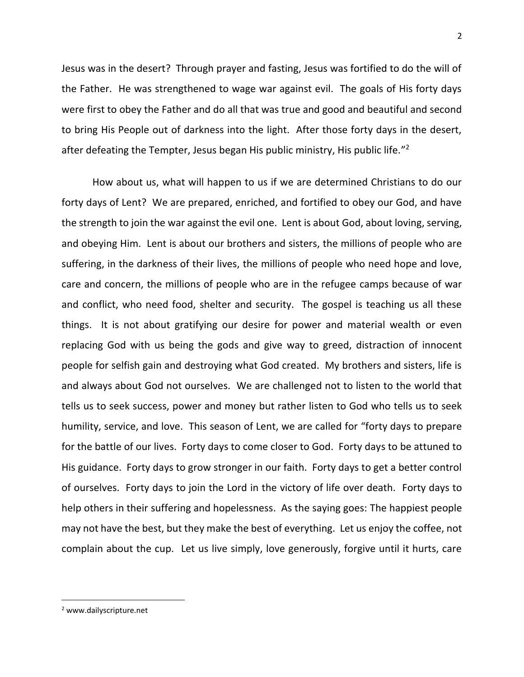Jesus was in the desert? Through prayer and fasting, Jesus was fortified to do the will of the Father. He was strengthened to wage war against evil. The goals of His forty days were first to obey the Father and do all that was true and good and beautiful and second to bring His People out of darkness into the light. After those forty days in the desert, after defeating the Tempter, Jesus began His public ministry, His public life."<sup>2</sup>

How about us, what will happen to us if we are determined Christians to do our forty days of Lent? We are prepared, enriched, and fortified to obey our God, and have the strength to join the war against the evil one. Lent is about God, about loving, serving, and obeying Him. Lent is about our brothers and sisters, the millions of people who are suffering, in the darkness of their lives, the millions of people who need hope and love, care and concern, the millions of people who are in the refugee camps because of war and conflict, who need food, shelter and security. The gospel is teaching us all these things. It is not about gratifying our desire for power and material wealth or even replacing God with us being the gods and give way to greed, distraction of innocent people for selfish gain and destroying what God created. My brothers and sisters, life is and always about God not ourselves. We are challenged not to listen to the world that tells us to seek success, power and money but rather listen to God who tells us to seek humility, service, and love. This season of Lent, we are called for "forty days to prepare for the battle of our lives. Forty days to come closer to God. Forty days to be attuned to His guidance. Forty days to grow stronger in our faith. Forty days to get a better control of ourselves. Forty days to join the Lord in the victory of life over death. Forty days to help others in their suffering and hopelessness. As the saying goes: The happiest people may not have the best, but they make the best of everything. Let us enjoy the coffee, not complain about the cup. Let us live simply, love generously, forgive until it hurts, care